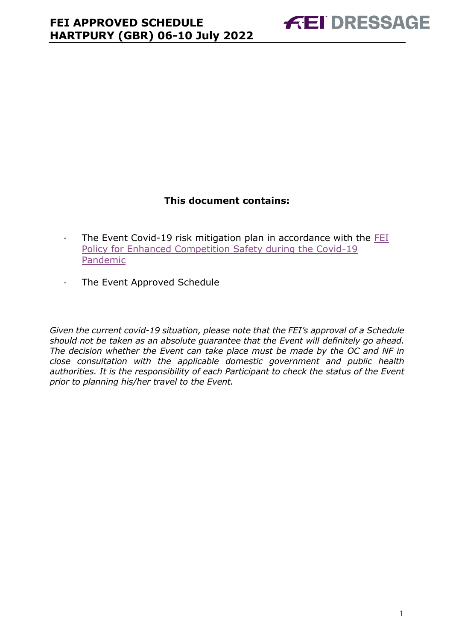### **This document contains:**

- <span id="page-0-0"></span>· The Event Covid-19 risk mitigation plan in accordance with the [FEI](https://inside.fei.org/fei/covid-19/return-to-play)  [Policy for Enhanced Competition Safety during the Covid-19](https://inside.fei.org/fei/covid-19/return-to-play)  [Pandemic](https://inside.fei.org/fei/covid-19/return-to-play)
- · The Event Approved Schedule

*Given the current covid-19 situation, please note that the FEI's approval of a Schedule should not be taken as an absolute guarantee that the Event will definitely go ahead. The decision whether the Event can take place must be made by the OC and NF in close consultation with the applicable domestic government and public health authorities. It is the responsibility of each Participant to check the status of the Event prior to planning his/her travel to the Event.*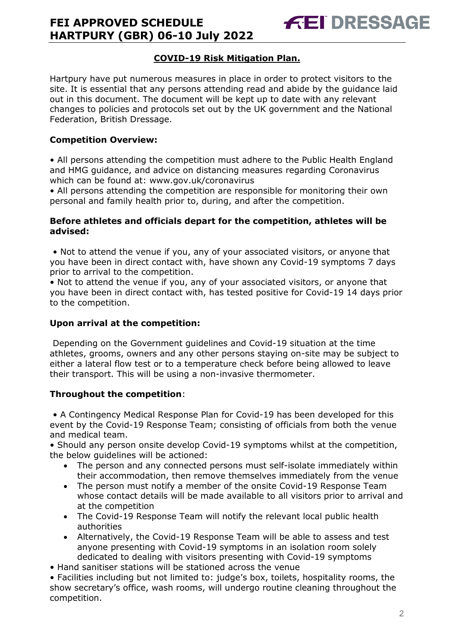### **COVID-19 Risk Mitigation Plan.**

Hartpury have put numerous measures in place in order to protect visitors to the site. It is essential that any persons attending read and abide by the guidance laid out in this document. The document will be kept up to date with any relevant changes to policies and protocols set out by the UK government and the National Federation, British Dressage.

#### **Competition Overview:**

• All persons attending the competition must adhere to the Public Health England and HMG guidance, and advice on distancing measures regarding Coronavirus which can be found at: www.gov.uk/coronavirus

• All persons attending the competition are responsible for monitoring their own personal and family health prior to, during, and after the competition.

#### **Before athletes and officials depart for the competition, athletes will be advised:**

• Not to attend the venue if you, any of your associated visitors, or anyone that you have been in direct contact with, have shown any Covid-19 symptoms 7 days prior to arrival to the competition.

• Not to attend the venue if you, any of your associated visitors, or anyone that you have been in direct contact with, has tested positive for Covid-19 14 days prior to the competition.

#### **Upon arrival at the competition:**

Depending on the Government guidelines and Covid-19 situation at the time athletes, grooms, owners and any other persons staying on-site may be subject to either a lateral flow test or to a temperature check before being allowed to leave their transport. This will be using a non-invasive thermometer.

#### **Throughout the competition**:

• A Contingency Medical Response Plan for Covid-19 has been developed for this event by the Covid-19 Response Team; consisting of officials from both the venue and medical team.

• Should any person onsite develop Covid-19 symptoms whilst at the competition, the below guidelines will be actioned:

- The person and any connected persons must self-isolate immediately within their accommodation, then remove themselves immediately from the venue
- The person must notify a member of the onsite Covid-19 Response Team whose contact details will be made available to all visitors prior to arrival and at the competition
- The Covid-19 Response Team will notify the relevant local public health authorities
- Alternatively, the Covid-19 Response Team will be able to assess and test anyone presenting with Covid-19 symptoms in an isolation room solely dedicated to dealing with visitors presenting with Covid-19 symptoms
- Hand sanitiser stations will be stationed across the venue

• Facilities including but not limited to: judge's box, toilets, hospitality rooms, the show secretary's office, wash rooms, will undergo routine cleaning throughout the competition.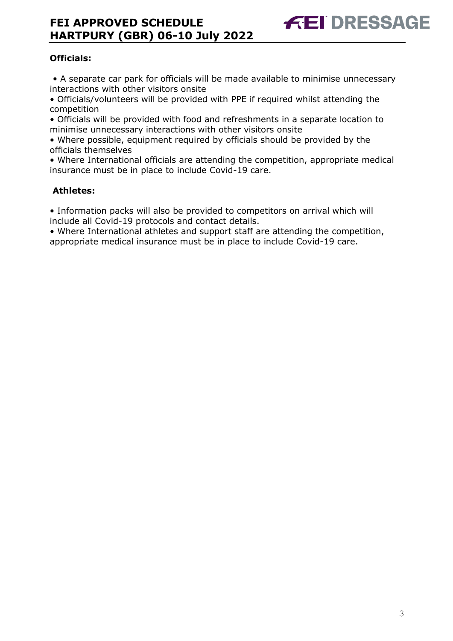### **Officials:**

• A separate car park for officials will be made available to minimise unnecessary interactions with other visitors onsite

• Officials/volunteers will be provided with PPE if required whilst attending the competition

• Officials will be provided with food and refreshments in a separate location to minimise unnecessary interactions with other visitors onsite

• Where possible, equipment required by officials should be provided by the officials themselves

• Where International officials are attending the competition, appropriate medical insurance must be in place to include Covid-19 care.

#### **Athletes:**

• Information packs will also be provided to competitors on arrival which will include all Covid-19 protocols and contact details.

• Where International athletes and support staff are attending the competition, appropriate medical insurance must be in place to include Covid-19 care.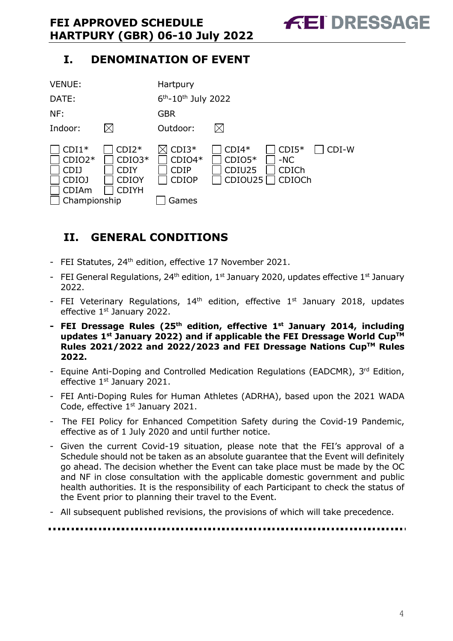# **I. DENOMINATION OF EVENT**



# <span id="page-3-0"></span>**II. GENERAL CONDITIONS**

- FEI Statutes, 24<sup>th</sup> edition, effective 17 November 2021.
- FEI General Regulations, 24<sup>th</sup> edition, 1<sup>st</sup> January 2020, updates effective 1<sup>st</sup> January 2022.
- FEI Veterinary Regulations,  $14<sup>th</sup>$  edition, effective  $1<sup>st</sup>$  January 2018, updates effective 1<sup>st</sup> January 2022.
- **- FEI Dressage Rules (25 th edition, effective 1st January 2014, including updates 1 st January 2022) and if applicable the FEI Dressage World CupTM Rules 2021/2022 and 2022/2023 and FEI Dressage Nations CupTM Rules 2022.**
- Equine Anti-Doping and Controlled Medication Regulations (EADCMR), 3rd Edition, effective 1<sup>st</sup> January 2021.
- FEI Anti-Doping Rules for Human Athletes (ADRHA), based upon the 2021 WADA Code, effective 1<sup>st</sup> January 2021.
- The FEI Policy for Enhanced Competition Safety during the Covid-19 Pandemic, effective as of 1 July 2020 and until further notice.
- Given the current Covid-19 situation, please note that the FEI's approval of a Schedule should not be taken as an absolute guarantee that the Event will definitely go ahead. The decision whether the Event can take place must be made by the OC and NF in close consultation with the applicable domestic government and public health authorities. It is the responsibility of each Participant to check the status of the Event prior to planning their travel to the Event.
- All subsequent published revisions, the provisions of which will take precedence.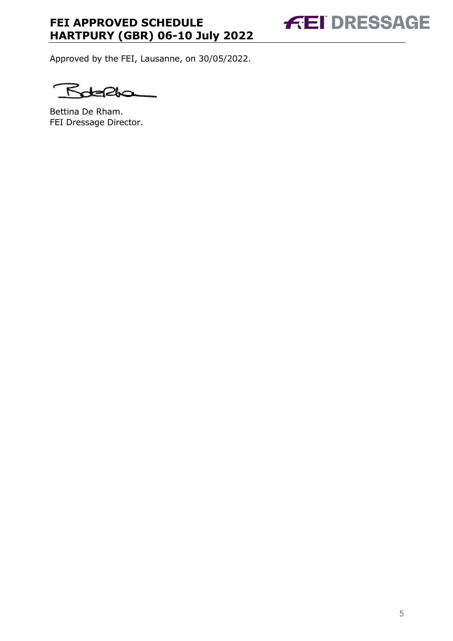**FEI DRESSAGE** 

Approved by the FEI, Lausanne, on 30/05/2022.

 $F$ ℺

Bettina De Rham. FEI Dressage Director.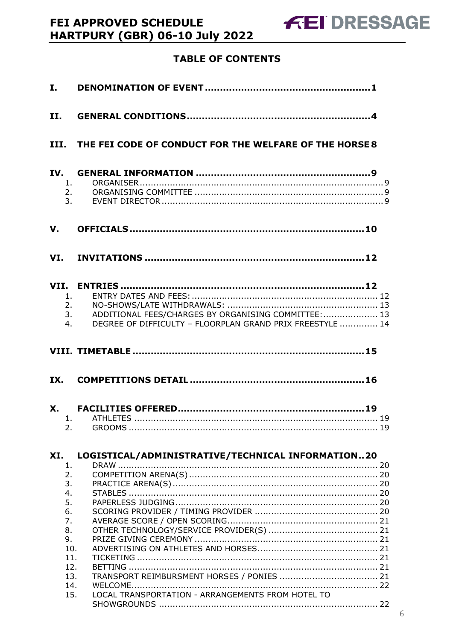# HARTPURY (GBR) 06-10 July 2022 **TABLE OF CONTENTS**

FEI APPROVED SCHEDULE

| I.  |                                                                                              |                                                                                                                   |
|-----|----------------------------------------------------------------------------------------------|-------------------------------------------------------------------------------------------------------------------|
| II. |                                                                                              |                                                                                                                   |
|     |                                                                                              | III. THE FEI CODE OF CONDUCT FOR THE WELFARE OF THE HORSE 8                                                       |
|     | 1.<br>2.                                                                                     | 3.                                                                                                                |
|     |                                                                                              |                                                                                                                   |
|     |                                                                                              |                                                                                                                   |
|     | 1.<br>2.<br>3.<br>4.                                                                         | ADDITIONAL FEES/CHARGES BY ORGANISING COMMITTEE:  13<br>DEGREE OF DIFFICULTY - FLOORPLAN GRAND PRIX FREESTYLE  14 |
|     |                                                                                              |                                                                                                                   |
| IX. |                                                                                              |                                                                                                                   |
|     | 2.                                                                                           |                                                                                                                   |
| XI. |                                                                                              | LOGISTICAL/ADMINISTRATIVE/TECHNICAL INFORMATION20                                                                 |
|     | 1.<br>2.<br>3.<br>4.<br>5.<br>6.<br>7.<br>8.<br>9.<br>10.<br>11.<br>12.<br>13.<br>14.<br>15. | LOCAL TRANSPORTATION - ARRANGEMENTS FROM HOTEL TO                                                                 |
|     |                                                                                              |                                                                                                                   |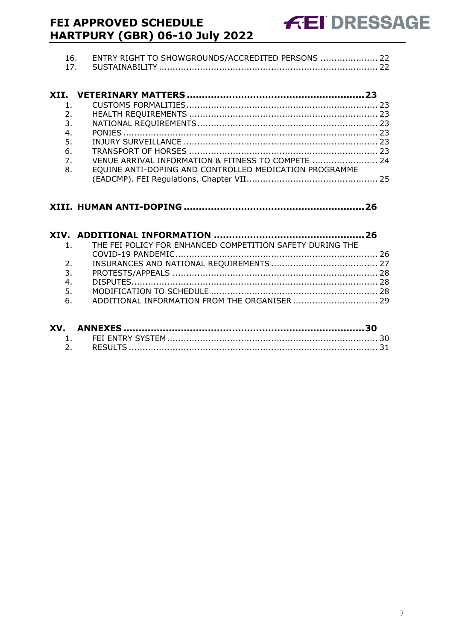| 16. ENTRY RIGHT TO SHOWGROUNDS/ACCREDITED PERSONS  22 |  |
|-------------------------------------------------------|--|
|                                                       |  |

| VENUE ARRIVAL INFORMATION & FITNESS TO COMPETE  24     |
|--------------------------------------------------------|
| EQUINE ANTI-DOPING AND CONTROLLED MEDICATION PROGRAMME |
|                                                        |
|                                                        |

|    | 1. THE FEI POLICY FOR ENHANCED COMPETITION SAFETY DURING THE |  |
|----|--------------------------------------------------------------|--|
|    |                                                              |  |
| 2. |                                                              |  |
| 3. |                                                              |  |
| 4. |                                                              |  |
| 5. |                                                              |  |
| 6. |                                                              |  |
|    |                                                              |  |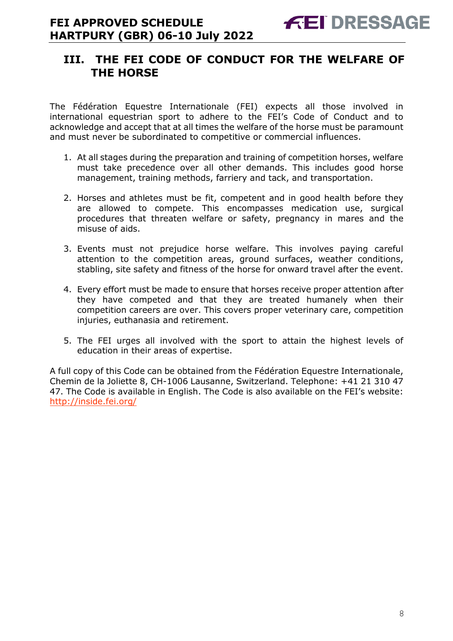## <span id="page-7-0"></span>**III. THE FEI CODE OF CONDUCT FOR THE WELFARE OF THE HORSE**

The Fédération Equestre Internationale (FEI) expects all those involved in international equestrian sport to adhere to the FEI's Code of Conduct and to acknowledge and accept that at all times the welfare of the horse must be paramount and must never be subordinated to competitive or commercial influences.

- 1. At all stages during the preparation and training of competition horses, welfare must take precedence over all other demands. This includes good horse management, training methods, farriery and tack, and transportation.
- 2. Horses and athletes must be fit, competent and in good health before they are allowed to compete. This encompasses medication use, surgical procedures that threaten welfare or safety, pregnancy in mares and the misuse of aids.
- 3. Events must not prejudice horse welfare. This involves paying careful attention to the competition areas, ground surfaces, weather conditions, stabling, site safety and fitness of the horse for onward travel after the event.
- 4. Every effort must be made to ensure that horses receive proper attention after they have competed and that they are treated humanely when their competition careers are over. This covers proper veterinary care, competition injuries, euthanasia and retirement.
- 5. The FEI urges all involved with the sport to attain the highest levels of education in their areas of expertise.

A full copy of this Code can be obtained from the Fédération Equestre Internationale, Chemin de la Joliette 8, CH-1006 Lausanne, Switzerland. Telephone: +41 21 310 47 47. The Code is available in English. The Code is also available on the FEI's website: <http://inside.fei.org/>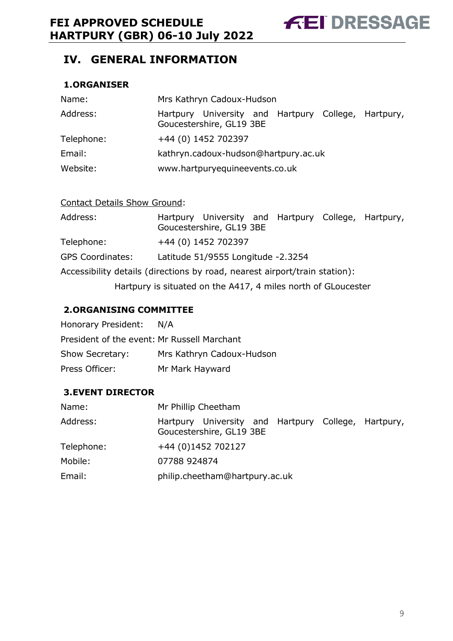# <span id="page-8-0"></span>**IV. GENERAL INFORMATION**

#### <span id="page-8-1"></span>**1.ORGANISER**

| Name:      | Mrs Kathryn Cadoux-Hudson                                                       |  |  |  |  |  |
|------------|---------------------------------------------------------------------------------|--|--|--|--|--|
| Address:   | Hartpury University and Hartpury College, Hartpury,<br>Goucestershire, GL19 3BE |  |  |  |  |  |
| Telephone: | +44 (0) 1452 702397                                                             |  |  |  |  |  |
| Email:     | kathryn.cadoux-hudson@hartpury.ac.uk                                            |  |  |  |  |  |
| Website:   | www.hartpuryequineevents.co.uk                                                  |  |  |  |  |  |

#### Contact Details Show Ground:

| Address:                                                                   |                                    | Hartpury University and Hartpury College, Hartpury,<br>Goucestershire, GL19 3BE |  |  |  |  |
|----------------------------------------------------------------------------|------------------------------------|---------------------------------------------------------------------------------|--|--|--|--|
| Telephone:                                                                 |                                    | +44 (0) 1452 702397                                                             |  |  |  |  |
| <b>GPS Coordinates:</b>                                                    | Latitude 51/9555 Longitude -2.3254 |                                                                                 |  |  |  |  |
| Accessibility details (directions by road, nearest airport/train station): |                                    |                                                                                 |  |  |  |  |
| Hartpury is situated on the A417, 4 miles north of GLoucester              |                                    |                                                                                 |  |  |  |  |

#### <span id="page-8-2"></span>**2.ORGANISING COMMITTEE**

| Honorary President:                         | N/A                       |
|---------------------------------------------|---------------------------|
| President of the event: Mr Russell Marchant |                           |
| Show Secretary:                             | Mrs Kathryn Cadoux-Hudson |
| Press Officer:                              | Mr Mark Hayward           |

#### <span id="page-8-3"></span>**3.EVENT DIRECTOR**

| Name:      | Mr Phillip Cheetham                                                             |
|------------|---------------------------------------------------------------------------------|
| Address:   | Hartpury University and Hartpury College, Hartpury,<br>Goucestershire, GL19 3BE |
| Telephone: | +44 (0)1452 702127                                                              |
| Mobile:    | 07788 924874                                                                    |
| Email:     | philip.cheetham@hartpury.ac.uk                                                  |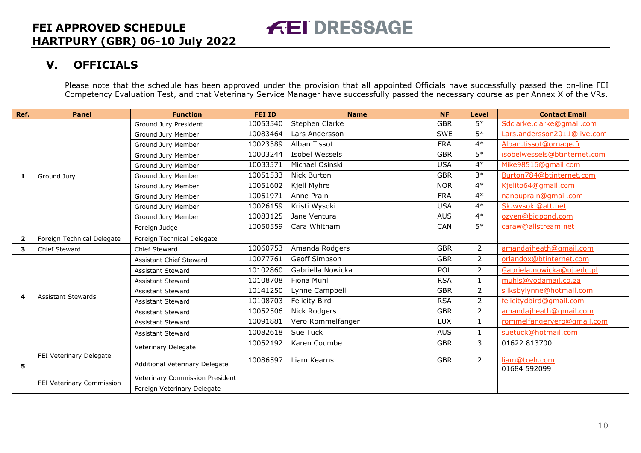# **V. OFFICIALS**

Please note that the schedule has been approved under the provision that all appointed Officials have successfully passed the on-line FEI Competency Evaluation Test, and that Veterinary Service Manager have successfully passed the necessary course as per Annex X of the VRs.

<span id="page-9-0"></span>

| Ref.                    | <b>Panel</b>               | <b>Function</b>                 | <b>FEI ID</b> | <b>Name</b>           | <b>NF</b>  | <b>Level</b>    | <b>Contact Email</b>          |
|-------------------------|----------------------------|---------------------------------|---------------|-----------------------|------------|-----------------|-------------------------------|
|                         |                            | Ground Jury President           | 10053540      | Stephen Clarke        | <b>GBR</b> | $5*$            | Sdclarke.clarke@gmail.com     |
|                         |                            | Ground Jury Member              | 10083464      | Lars Andersson        | <b>SWE</b> | $5*$            | Lars.andersson2011@live.com   |
|                         |                            | Ground Jury Member              | 10023389      | Alban Tissot          | <b>FRA</b> | $4*$            | Alban.tissot@ornage.fr        |
|                         |                            | Ground Jury Member              | 10003244      | <b>Isobel Wessels</b> | <b>GBR</b> | $5*$            | isobelwessels@btinternet.com  |
|                         |                            | Ground Jury Member              | 10033571      | Michael Osinski       | <b>USA</b> | $4*$            | Mike98516@qmail.com           |
| 1                       | Ground Jury                | Ground Jury Member              | 10051533      | Nick Burton           | <b>GBR</b> | $3*$            | Burton784@btinternet.com      |
|                         |                            | Ground Jury Member              | 10051602      | Kjell Myhre           | <b>NOR</b> | $4*$            | Kjelito64@gmail.com           |
|                         |                            | Ground Jury Member              | 10051971      | Anne Prain            | <b>FRA</b> | $4*$            | nanouprain@gmail.com          |
|                         |                            | Ground Jury Member              | 10026159      | Kristi Wysoki         | <b>USA</b> | $4*$            | Sk.wysoki@att.net             |
|                         |                            | Ground Jury Member              | 10083125      | Jane Ventura          | <b>AUS</b> | $4*$            | ozven@bigpond.com             |
|                         |                            | Foreign Judge                   | 10050559      | Cara Whitham          | <b>CAN</b> | $\overline{5*}$ | caraw@allstream.net           |
| $\overline{\mathbf{2}}$ | Foreign Technical Delegate | Foreign Technical Delegate      |               |                       |            |                 |                               |
| 3                       | <b>Chief Steward</b>       | <b>Chief Steward</b>            | 10060753      | Amanda Rodgers        | <b>GBR</b> | $\overline{2}$  | amandajheath@gmail.com        |
|                         |                            | Assistant Chief Steward         | 10077761      | Geoff Simpson         | <b>GBR</b> | $\overline{2}$  | orlandox@btinternet.com       |
|                         |                            | <b>Assistant Steward</b>        | 10102860      | Gabriella Nowicka     | POL        | $\overline{2}$  | Gabriela.nowicka@uj.edu.pl    |
|                         |                            | <b>Assistant Steward</b>        | 10108708      | Fiona Muhl            | <b>RSA</b> | 1               | muhls@vodamail.co.za          |
|                         |                            | Assistant Steward               | 10141250      | Lynne Campbell        | <b>GBR</b> | $\overline{2}$  | silksbylynne@hotmail.com      |
| $\overline{\mathbf{4}}$ | <b>Assistant Stewards</b>  | <b>Assistant Steward</b>        | 10108703      | <b>Felicity Bird</b>  | <b>RSA</b> | $\overline{2}$  | felicitydbird@gmail.com       |
|                         |                            | <b>Assistant Steward</b>        | 10052506      | <b>Nick Rodgers</b>   | <b>GBR</b> | $\overline{2}$  | amandajheath@gmail.com        |
|                         |                            | <b>Assistant Steward</b>        | 10091881      | Vero Rommelfanger     | <b>LUX</b> | $\mathbf{1}$    | rommelfangervero@gmail.com    |
|                         |                            | <b>Assistant Steward</b>        | 10082618      | Sue Tuck              | <b>AUS</b> | 1               | suetuck@hotmail.com           |
| 5                       | FEI Veterinary Delegate    | Veterinary Delegate             | 10052192      | Karen Coumbe          | <b>GBR</b> | 3               | 01622 813700                  |
|                         |                            | Additional Veterinary Delegate  | 10086597      | Liam Kearns           | <b>GBR</b> | $\overline{2}$  | liam@tceh.com<br>01684 592099 |
|                         |                            | Veterinary Commission President |               |                       |            |                 |                               |
|                         | FEI Veterinary Commission  | Foreign Veterinary Delegate     |               |                       |            |                 |                               |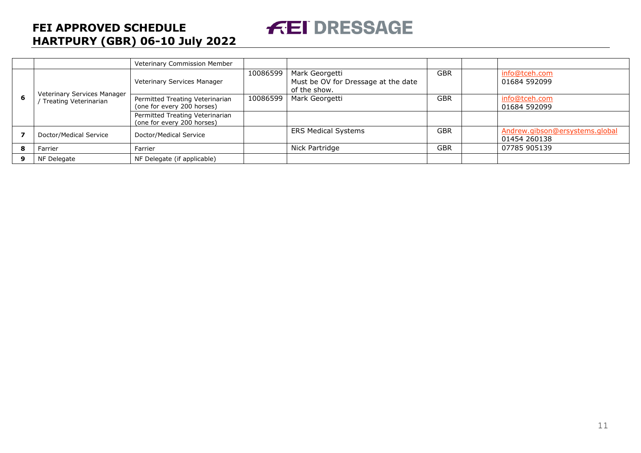Veterinary Commission Member **6** Veterinary Services Manager / Treating Veterinarian Veterinary Services Manager 10086599 Mark Georgetti Must be OV for Dressage at the date of the show. GBR info@tceh.com 01684 592099 Permitted Treating Veterinarian (one for every 200 horses) 10086599 Mark Georgetti GBR | info@tceh.com 01684 592099 Permitted Treating Veterinarian (one for every 200 horses) **7** Doctor/Medical Service Doctor/Medical Service Doctor/Medical Service ERS Medical Systems GBR [Andrew.gibson@ersystems.global](mailto:Andrew.gibson@ersystems.global) 01454 260138 **8** Farrier Farrier Farrier Farrier Research Political Politics (Nick Partridge Farrier Factor 197785 905139 I **9** NF Delegate **NF Delegate (if applicable)** 

**FEI DRESSAGE**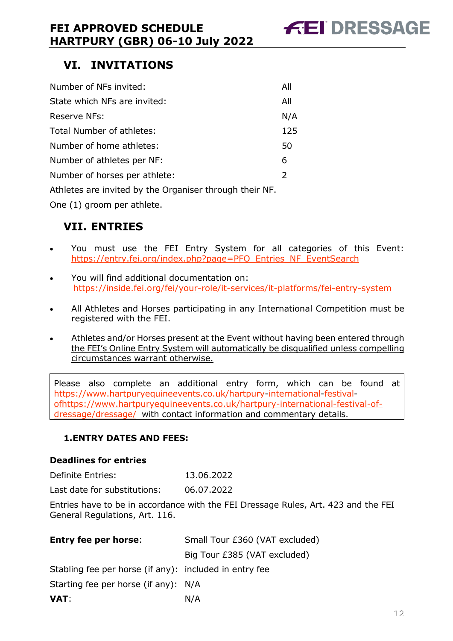

# <span id="page-11-0"></span>**VI. INVITATIONS**

| Number of NFs invited:                                  | All           |
|---------------------------------------------------------|---------------|
| State which NFs are invited:                            | All           |
| Reserve NFs:                                            | N/A           |
| Total Number of athletes:                               | 125           |
| Number of home athletes:                                | 50            |
| Number of athletes per NF:                              | 6             |
| Number of horses per athlete:                           | $\mathcal{L}$ |
| Athletes are invited by the Organiser through their NF. |               |

One (1) groom per athlete.

# <span id="page-11-1"></span>**VII. ENTRIES**

- You must use the FEI Entry System for all categories of this Event: [https://entry.fei.org/index.php?page=PFO\\_Entries\\_NF\\_EventSearch](https://entry.fei.org/index.php?page=PFO_Entries_NF_EventSearch)
- You will find additional documentation on: <https://inside.fei.org/fei/your-role/it-services/it-platforms/fei-entry-system>
- All Athletes and Horses participating in any International Competition must be registered with the FEI.
- Athletes and/or Horses present at the Event without having been entered through the FEI's Online Entry System will automatically be disqualified unless compelling circumstances warrant otherwise.

Please also complete an additional entry form, which can be found at [https://www.hartpuryequineevents.co.uk/hartpury-international-festival](https://www.hartpuryequineevents.co.uk/hartpury-international-festival-of-dressage/)[ofhttps://www.hartpuryequineevents.co.uk/hartpury-international-festival-of](https://www.hartpuryequineevents.co.uk/hartpury-international-festival-of-dressage/)[dressage/dressage/](https://www.hartpuryequineevents.co.uk/hartpury-international-festival-of-dressage/) [w](https://www.hartpuryequineevents.co.uk/hartpury-international-festival-of-dressage/)ith contact information and commentary details.

#### <span id="page-11-2"></span>**1.ENTRY DATES AND FEES:**

#### **Deadlines for entries**

| Definite Entries: | 13.06.2022 |
|-------------------|------------|
|                   |            |

Last date for substitutions: 06.07.2022

Entries have to be in accordance with the FEI Dressage Rules, Art. 423 and the FEI General Regulations, Art. 116.

| <b>Entry fee per horse:</b>                            | Small Tour £360 (VAT excluded) |
|--------------------------------------------------------|--------------------------------|
|                                                        | Big Tour £385 (VAT excluded)   |
| Stabling fee per horse (if any): included in entry fee |                                |
| Starting fee per horse (if any): N/A                   |                                |
| VAT:                                                   | N/A                            |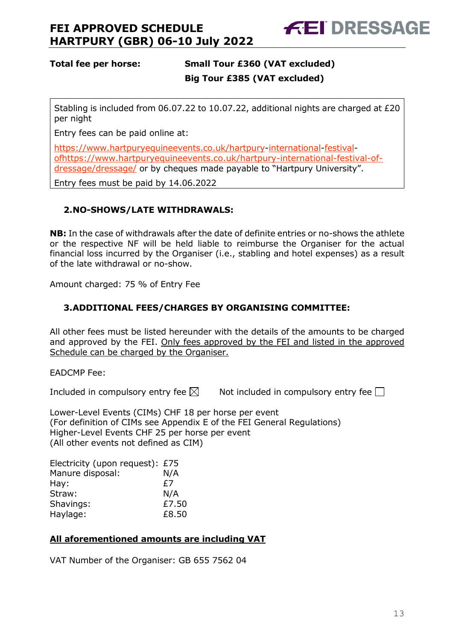

#### **Total fee per horse: Small Tour £360 (VAT excluded) Big Tour £385 (VAT excluded)**

Stabling is included from 06.07.22 to 10.07.22, additional nights are charged at £20 per night

Entry fees can be paid online at:

[https://www.hartpuryequineevents.co.uk/hartpury-international-festival](https://www.hartpuryequineevents.co.uk/hartpury-international-festival-of-dressage/)[ofhttps://www.hartpuryequineevents.co.uk/hartpury-international-festival-of](https://www.hartpuryequineevents.co.uk/hartpury-international-festival-of-dressage/)[dressage/dressage/](https://www.hartpuryequineevents.co.uk/hartpury-international-festival-of-dressage/) or by cheques made payable to "Hartpury University".

Entry fees must be paid by 14.06.2022

#### <span id="page-12-0"></span>**2.NO-SHOWS/LATE WITHDRAWALS:**

**NB:** In the case of withdrawals after the date of definite entries or no-shows the athlete or the respective NF will be held liable to reimburse the Organiser for the actual financial loss incurred by the Organiser (i.e., stabling and hotel expenses) as a result of the late withdrawal or no-show.

Amount charged: 75 % of Entry Fee

#### <span id="page-12-1"></span>**3.ADDITIONAL FEES/CHARGES BY ORGANISING COMMITTEE:**

All other fees must be listed hereunder with the details of the amounts to be charged and approved by the FEI. Only fees approved by the FEI and listed in the approved Schedule can be charged by the Organiser.

EADCMP Fee:

Included in compulsory entry fee  $\boxtimes$  Not included in compulsory entry fee  $\Box$ 

Lower-Level Events (CIMs) CHF 18 per horse per event (For definition of CIMs see Appendix E of the FEI General Regulations) Higher-Level Events CHF 25 per horse per event (All other events not defined as CIM)

Electricity (upon request): £75 Manure disposal: N/A Hay: E7 Straw: N/A Shavings: £7.50 Haylage: £8.50

#### **All aforementioned amounts are including VAT**

VAT Number of the Organiser: GB 655 7562 04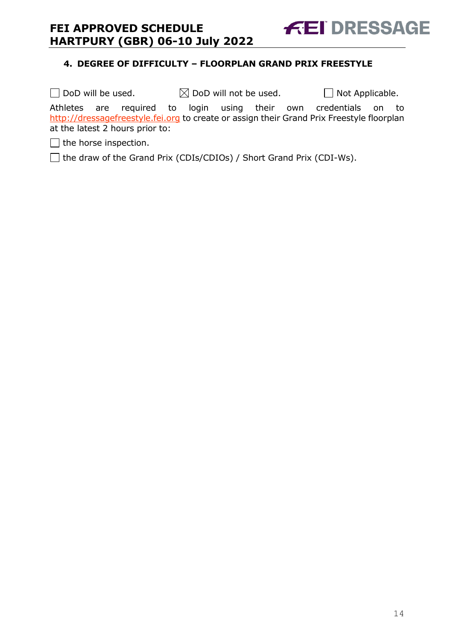<span id="page-13-0"></span>

**FEI DRESSAGE** 

 $\Box$  DoD will be used.  $\boxtimes$  DoD will not be used.  $\Box$  Not Applicable. Athletes are required to login using their own credentials on to [http://dressagefreestyle.fei.org](http://dressagefreestyle.fei.org/) to create or assign their Grand Prix Freestyle floorplan at the latest 2 hours prior to:

 $\Box$  the horse inspection.

□ the draw of the Grand Prix (CDIs/CDIOs) / Short Grand Prix (CDI-Ws).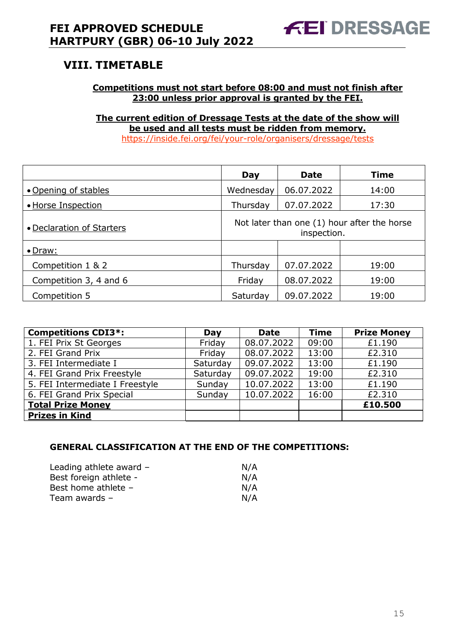# <span id="page-14-0"></span>**VIII. TIMETABLE**

#### **Competitions must not start before 08:00 and must not finish after 23:00 unless prior approval is granted by the FEI.**

**The current edition of Dressage Tests at the date of the show will be used and all tests must be ridden from memory.** <https://inside.fei.org/fei/your-role/organisers/dressage/tests>

|                           | Day                                                        | <b>Date</b> | <b>Time</b> |
|---------------------------|------------------------------------------------------------|-------------|-------------|
| • Opening of stables      | Wednesday                                                  | 06.07.2022  | 14:00       |
| • Horse Inspection        | Thursday                                                   | 07.07.2022  | 17:30       |
| • Declaration of Starters | Not later than one (1) hour after the horse<br>inspection. |             |             |
| $\bullet$ Draw:           |                                                            |             |             |
| Competition 1 & 2         | Thursday                                                   | 07.07.2022  | 19:00       |
| Competition 3, 4 and 6    | Friday                                                     | 08.07.2022  | 19:00       |
| Competition 5             | Saturday                                                   | 09.07.2022  | 19:00       |

| <b>Competitions CDI3*:</b>      | Day      | <b>Date</b> | <b>Time</b> | <b>Prize Money</b> |
|---------------------------------|----------|-------------|-------------|--------------------|
| 1. FEI Prix St Georges          | Friday   | 08.07.2022  | 09:00       | £1.190             |
| 2. FEI Grand Prix               | Friday   | 08.07.2022  | 13:00       | £2.310             |
| 3. FEI Intermediate I           | Saturday | 09.07.2022  | 13:00       | £1.190             |
| 4. FEI Grand Prix Freestyle     | Saturday | 09.07.2022  | 19:00       | £2.310             |
| 5. FEI Intermediate I Freestyle | Sunday   | 10.07.2022  | 13:00       | £1.190             |
| 6. FEI Grand Prix Special       | Sunday   | 10.07.2022  | 16:00       | £2.310             |
| <b>Total Prize Money</b>        |          |             |             | £10,500            |
| <b>Prizes in Kind</b>           |          |             |             |                    |

#### **GENERAL CLASSIFICATION AT THE END OF THE COMPETITIONS:**

| Leading athlete award - | N/A |
|-------------------------|-----|
| Best foreign athlete -  | N/A |
| Best home athlete -     | N/A |
| Team awards –           | N/A |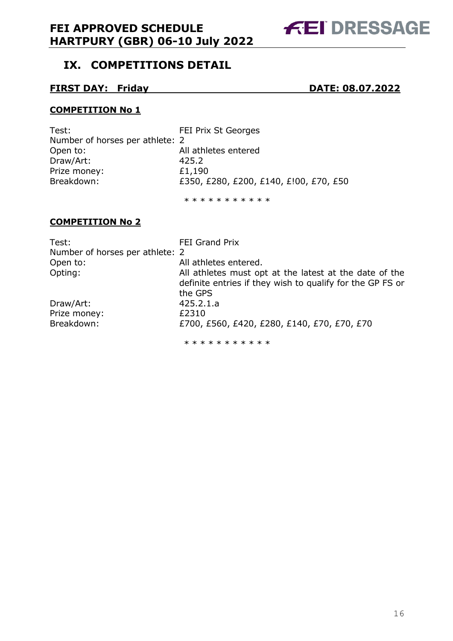# **AEI DRESSAGE**

# <span id="page-15-0"></span>**IX. COMPETITIONS DETAIL**

#### **FIRST DAY: Friday DATE: 08.07.2022**

#### **COMPETITION No 1**

| Test:                           | <b>FEI Prix St Georges</b>             |
|---------------------------------|----------------------------------------|
| Number of horses per athlete: 2 |                                        |
| Open to:                        | All athletes entered                   |
| Draw/Art:                       | 425.2                                  |
| Prize money:                    | £1,190                                 |
| Breakdown:                      | £350, £280, £200, £140, £!00, £70, £50 |
|                                 |                                        |

\* \* \* \* \* \* \* \* \* \* \*

#### **COMPETITION No 2**

| Test:                           | <b>FEI Grand Prix</b>                                     |
|---------------------------------|-----------------------------------------------------------|
| Number of horses per athlete: 2 |                                                           |
| Open to:                        | All athletes entered.                                     |
| Opting:                         | All athletes must opt at the latest at the date of the    |
|                                 | definite entries if they wish to qualify for the GP FS or |
|                                 | the GPS                                                   |
| Draw/Art:                       | 425.2.1.a                                                 |
| Prize money:                    | £2310                                                     |
| Breakdown:                      | £700, £560, £420, £280, £140, £70, £70, £70               |
|                                 | * * * * * * * * * * *                                     |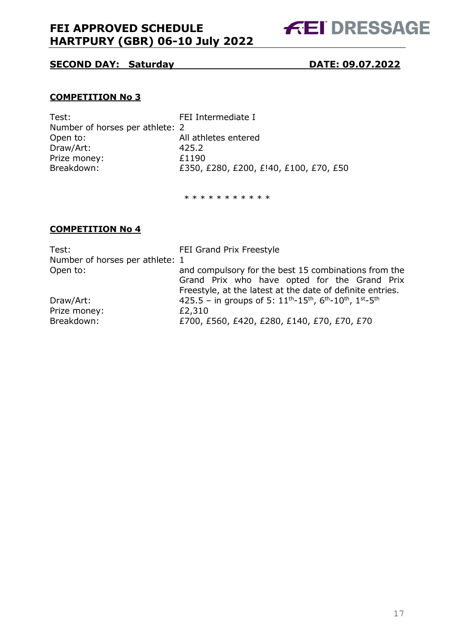

#### **SECOND DAY: Saturday DATE: 09.07.2022**

#### **COMPETITION No 3**

| FEI Intermediate I                     |
|----------------------------------------|
| Number of horses per athlete: 2        |
| All athletes entered                   |
| 425.2                                  |
| £1190                                  |
| £350, £280, £200, £!40, £100, £70, £50 |
|                                        |

\* \* \* \* \* \* \* \* \* \*

#### **COMPETITION No 4**

| Test:                           | FEI Grand Prix Freestyle                                                                                                       |
|---------------------------------|--------------------------------------------------------------------------------------------------------------------------------|
| Number of horses per athlete: 1 |                                                                                                                                |
| Open to:                        | and compulsory for the best 15 combinations from the                                                                           |
|                                 | Grand Prix who have opted for the Grand Prix                                                                                   |
|                                 | Freestyle, at the latest at the date of definite entries.                                                                      |
| Draw/Art:                       | 425.5 - in groups of 5: $11^{\text{th}} - 15^{\text{th}}$ , $6^{\text{th}} - 10^{\text{th}}$ , $1^{\text{st}} - 5^{\text{th}}$ |
| Prize money:                    | £2,310                                                                                                                         |
| Breakdown:                      | £700, £560, £420, £280, £140, £70, £70, £70                                                                                    |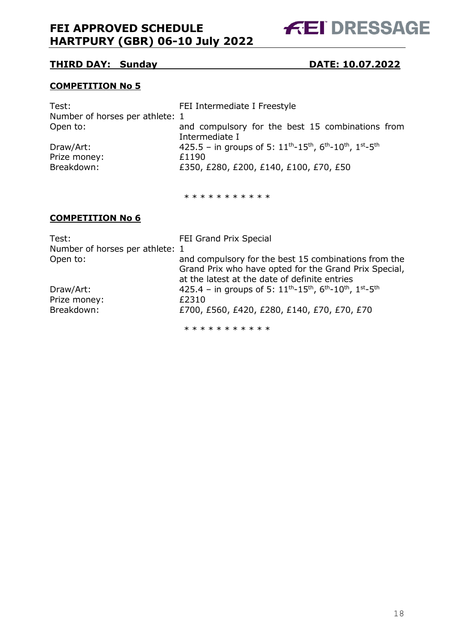**FEI DRESSAGE** 

#### **THIRD DAY: Sunday DATE: 10.07.2022**

#### **COMPETITION No 5**

| Test:                           | FEI Intermediate I Freestyle                                                                                                   |
|---------------------------------|--------------------------------------------------------------------------------------------------------------------------------|
| Number of horses per athlete: 1 |                                                                                                                                |
| Open to:                        | and compulsory for the best 15 combinations from<br>Intermediate I                                                             |
| Draw/Art:                       | 425.5 - in groups of 5: $11^{\text{th}} - 15^{\text{th}}$ , $6^{\text{th}} - 10^{\text{th}}$ , $1^{\text{st}} - 5^{\text{th}}$ |
| Prize money:                    | £1190                                                                                                                          |
| Breakdown:                      | £350, £280, £200, £140, £100, £70, £50                                                                                         |
|                                 |                                                                                                                                |

\* \* \* \* \* \* \* \* \* \* \*

#### **COMPETITION No 6**

| Test:                           | FEI Grand Prix Special                                                                                                                                         |
|---------------------------------|----------------------------------------------------------------------------------------------------------------------------------------------------------------|
| Number of horses per athlete: 1 |                                                                                                                                                                |
| Open to:                        | and compulsory for the best 15 combinations from the<br>Grand Prix who have opted for the Grand Prix Special,<br>at the latest at the date of definite entries |
| Draw/Art:                       | 425.4 - in groups of 5: $11^{\text{th}}$ - $15^{\text{th}}$ , $6^{\text{th}}$ - $10^{\text{th}}$ , $1^{\text{st}}$ - $5^{\text{th}}$                           |
| Prize money:                    | £2310                                                                                                                                                          |
| Breakdown:                      | £700, £560, £420, £280, £140, £70, £70, £70                                                                                                                    |
|                                 | * * * * * * * * * * *                                                                                                                                          |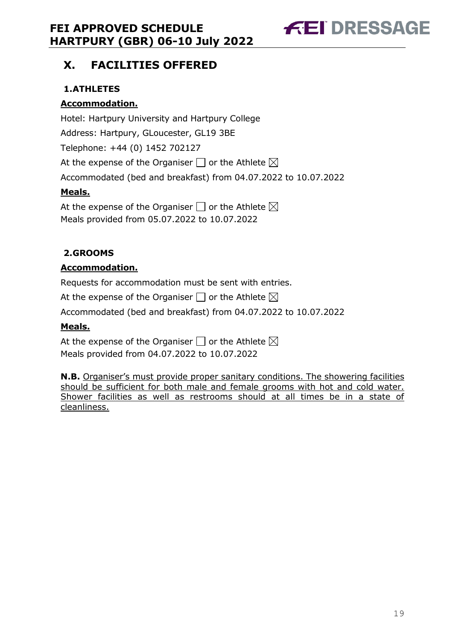# **FEI DRESSAGE**

# <span id="page-18-0"></span>**X. FACILITIES OFFERED**

### <span id="page-18-1"></span>**1.ATHLETES**

#### **Accommodation.**

Hotel: Hartpury University and Hartpury College Address: Hartpury, GLoucester, GL19 3BE Telephone: +44 (0) 1452 702127 At the expense of the Organiser  $\Box$  or the Athlete  $\boxtimes$ Accommodated (bed and breakfast) from 04.07.2022 to 10.07.2022 **Meals.**

At the expense of the Organiser  $\Box$  or the Athlete  $\boxtimes$ Meals provided from 05.07.2022 to 10.07.2022

#### <span id="page-18-2"></span>**2.GROOMS**

#### **Accommodation.**

Requests for accommodation must be sent with entries.

At the expense of the Organiser  $\Box$  or the Athlete  $\boxtimes$ 

Accommodated (bed and breakfast) from 04.07.2022 to 10.07.2022

#### **Meals.**

At the expense of the Organiser  $\square$  or the Athlete  $\boxtimes$ Meals provided from 04.07.2022 to 10.07.2022

**N.B.** Organiser's must provide proper sanitary conditions. The showering facilities should be sufficient for both male and female grooms with hot and cold water. Shower facilities as well as restrooms should at all times be in a state of cleanliness.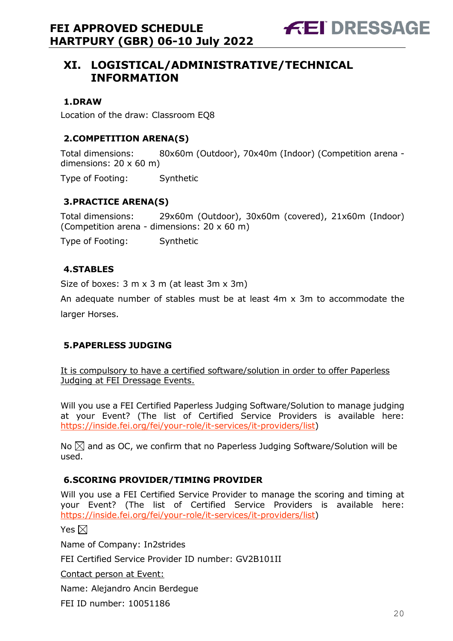# <span id="page-19-0"></span>**XI. LOGISTICAL/ADMINISTRATIVE/TECHNICAL INFORMATION**

#### <span id="page-19-1"></span>**1.DRAW**

Location of the draw: Classroom EQ8

#### <span id="page-19-2"></span>**2.COMPETITION ARENA(S)**

Total dimensions: 80x60m (Outdoor), 70x40m (Indoor) (Competition arena dimensions:  $20 \times 60$  m)

Type of Footing: Synthetic

#### <span id="page-19-3"></span>**3.PRACTICE ARENA(S)**

Total dimensions: 29x60m (Outdoor), 30x60m (covered), 21x60m (Indoor) (Competition arena - dimensions: 20 x 60 m)

Type of Footing: Synthetic

#### <span id="page-19-4"></span>**4.STABLES**

Size of boxes: 3 m x 3 m (at least 3m x 3m)

An adequate number of stables must be at least 4m x 3m to accommodate the larger Horses.

#### <span id="page-19-5"></span>**5.PAPERLESS JUDGING**

It is compulsory to have a certified software/solution in order to offer Paperless Judging at FEI Dressage Events.

Will you use a FEI Certified Paperless Judging Software/Solution to manage judging at your Event? (The list of Certified Service Providers is available here: [https://inside.fei.org/fei/your-role/it-services/it-providers/list\)](https://inside.fei.org/fei/your-role/it-services/it-providers/list)

No  $\boxtimes$  and as OC, we confirm that no Paperless Judging Software/Solution will be used.

#### <span id="page-19-6"></span>**6.SCORING PROVIDER/TIMING PROVIDER**

Will you use a FEI Certified Service Provider to manage the scoring and timing at your Event? (The list of Certified Service Providers is available here: [https://inside.fei.org/fei/your-role/it-services/it-providers/list\)](https://inside.fei.org/fei/your-role/it-services/it-providers/list)

Yes  $\boxtimes$ 

Name of Company: In2strides

FEI Certified Service Provider ID number: GV2B101II

Contact person at Event:

Name: Alejandro Ancin Berdegue

FEI ID number: 10051186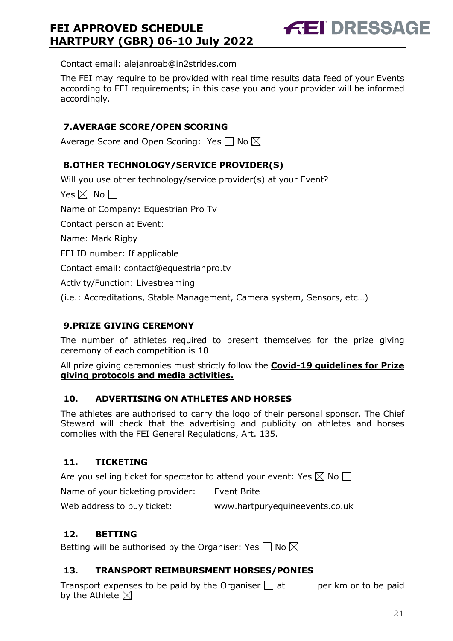**FEI DRESSAGE** 

Contact email: alejanroab@in2strides.com

The FEI may require to be provided with real time results data feed of your Events according to FEI requirements; in this case you and your provider will be informed accordingly.

#### <span id="page-20-0"></span>**7.AVERAGE SCORE/OPEN SCORING**

Average Score and Open Scoring: Yes  $\Box$  No  $\boxtimes$ 

#### <span id="page-20-1"></span>**8.OTHER TECHNOLOGY/SERVICE PROVIDER(S)**

Will you use other technology/service provider(s) at your Event?

Yes  $\boxtimes$  No  $\Box$ 

Name of Company: Equestrian Pro Tv

Contact person at Event:

Name: Mark Rigby

FEI ID number: If applicable

Contact email: contact@equestrianpro.tv

Activity/Function: Livestreaming

(i.e.: Accreditations, Stable Management, Camera system, Sensors, etc…)

#### <span id="page-20-2"></span>**9.PRIZE GIVING CEREMONY**

The number of athletes required to present themselves for the prize giving ceremony of each competition is 10

All prize giving ceremonies must strictly follow the **Covid-19 guidelines for Prize giving protocols and media activities.**

#### <span id="page-20-3"></span>**10. ADVERTISING ON ATHLETES AND HORSES**

The athletes are authorised to carry the logo of their personal sponsor. The Chief Steward will check that the advertising and publicity on athletes and horses complies with the FEI General Regulations, Art. 135.

#### <span id="page-20-4"></span>**11. TICKETING**

Are you selling ticket for spectator to attend your event: Yes  $\boxtimes$  No  $\Box$ 

Name of your ticketing provider: Event Brite

Web address to buy ticket: www.hartpuryequineevents.co.uk

#### <span id="page-20-5"></span>**12. BETTING**

Betting will be authorised by the Organiser: Yes  $\Box$  No  $\boxtimes$ 

#### <span id="page-20-6"></span>**13. TRANSPORT REIMBURSMENT HORSES/PONIES**

Transport expenses to be paid by the Organiser  $\Box$  at early per km or to be paid by the Athlete  $\boxtimes$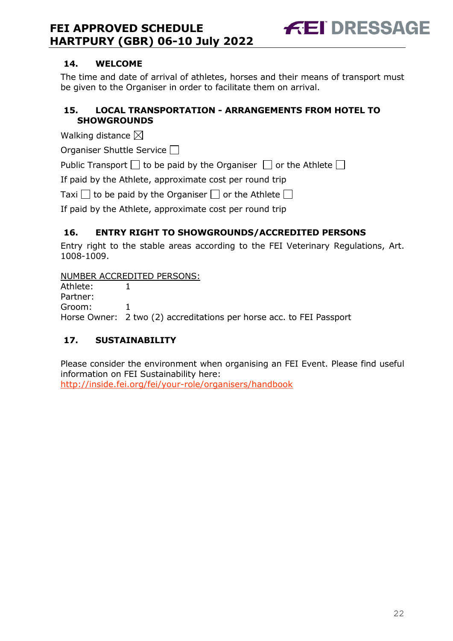

#### <span id="page-21-0"></span>**14. WELCOME**

The time and date of arrival of athletes, horses and their means of transport must be given to the Organiser in order to facilitate them on arrival.

#### <span id="page-21-1"></span>**15. LOCAL TRANSPORTATION - ARRANGEMENTS FROM HOTEL TO SHOWGROUNDS**

Walking distance  $\boxtimes$ 

Organiser Shuttle Service  $\Box$ 

Public Transport  $\Box$  to be paid by the Organiser  $\Box$  or the Athlete  $\Box$ 

If paid by the Athlete, approximate cost per round trip

Taxi  $\Box$  to be paid by the Organiser  $\Box$  or the Athlete  $\Box$ 

If paid by the Athlete, approximate cost per round trip

#### <span id="page-21-2"></span>**16. ENTRY RIGHT TO SHOWGROUNDS/ACCREDITED PERSONS**

Entry right to the stable areas according to the FEI Veterinary Regulations, Art. 1008-1009.

NUMBER ACCREDITED PERSONS:

Athlete: 1 Partner: Groom: 1 Horse Owner: 2 two (2) accreditations per horse acc. to FEI Passport

## <span id="page-21-3"></span>**17. SUSTAINABILITY**

Please consider the environment when organising an FEI Event. Please find useful information on FEI Sustainability here: <http://inside.fei.org/fei/your-role/organisers/handbook>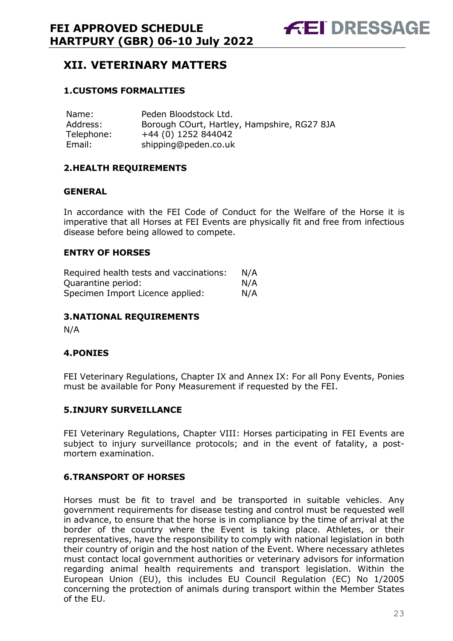# <span id="page-22-0"></span>**XII. VETERINARY MATTERS**

#### <span id="page-22-1"></span>**1.CUSTOMS FORMALITIES**

| Name:      | Peden Bloodstock Ltd.                       |
|------------|---------------------------------------------|
| Address:   | Borough COurt, Hartley, Hampshire, RG27 8JA |
| Telephone: | +44 (0) 1252 844042                         |
| Email:     | shipping@peden.co.uk                        |

#### <span id="page-22-2"></span>**2.HEALTH REQUIREMENTS**

#### **GENERAL**

In accordance with the FEI Code of Conduct for the Welfare of the Horse it is imperative that all Horses at FEI Events are physically fit and free from infectious disease before being allowed to compete.

#### **ENTRY OF HORSES**

| Required health tests and vaccinations: | N/A |
|-----------------------------------------|-----|
| Quarantine period:                      | N/A |
| Specimen Import Licence applied:        | N/A |

#### <span id="page-22-3"></span>**3.NATIONAL REQUIREMENTS**

N/A

#### <span id="page-22-4"></span>**4.PONIES**

FEI Veterinary Regulations, Chapter IX and Annex IX: For all Pony Events, Ponies must be available for Pony Measurement if requested by the FEI.

#### <span id="page-22-5"></span>**5.INJURY SURVEILLANCE**

FEI Veterinary Regulations, Chapter VIII: Horses participating in FEI Events are subject to injury surveillance protocols; and in the event of fatality, a postmortem examination.

#### <span id="page-22-6"></span>**6.TRANSPORT OF HORSES**

Horses must be fit to travel and be transported in suitable vehicles. Any government requirements for disease testing and control must be requested well in advance, to ensure that the horse is in compliance by the time of arrival at the border of the country where the Event is taking place. Athletes, or their representatives, have the responsibility to comply with national legislation in both their country of origin and the host nation of the Event. Where necessary athletes must contact local government authorities or veterinary advisors for information regarding animal health requirements and transport legislation. Within the European Union (EU), this includes EU Council Regulation (EC) No 1/2005 concerning the protection of animals during transport within the Member States of the EU.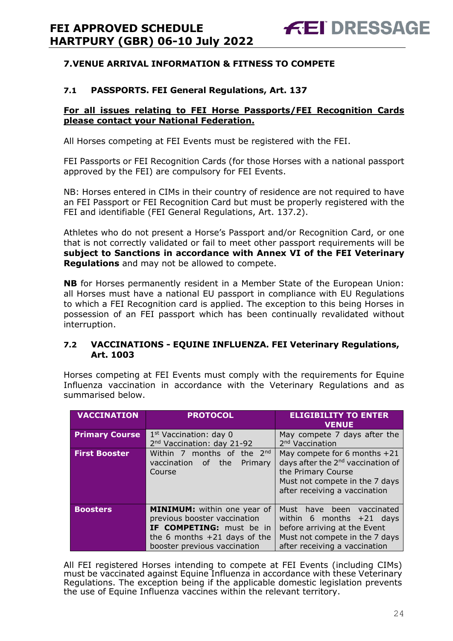#### <span id="page-23-0"></span>**7.VENUE ARRIVAL INFORMATION & FITNESS TO COMPETE**

#### **7.1 PASSPORTS. FEI General Regulations, Art. 137**

#### **For all issues relating to FEI Horse Passports/FEI Recognition Cards please contact your National Federation.**

All Horses competing at FEI Events must be registered with the FEI.

FEI Passports or FEI Recognition Cards (for those Horses with a national passport approved by the FEI) are compulsory for FEI Events.

NB: Horses entered in CIMs in their country of residence are not required to have an FEI Passport or FEI Recognition Card but must be properly registered with the FEI and identifiable (FEI General Regulations, Art. 137.2).

Athletes who do not present a Horse's Passport and/or Recognition Card, or one that is not correctly validated or fail to meet other passport requirements will be **subject to Sanctions in accordance with Annex VI of the FEI Veterinary Regulations** and may not be allowed to compete.

**NB** for Horses permanently resident in a Member State of the European Union: all Horses must have a national EU passport in compliance with EU Regulations to which a FEI Recognition card is applied. The exception to this being Horses in possession of an FEI passport which has been continually revalidated without interruption.

#### **7.2 VACCINATIONS - EQUINE INFLUENZA. FEI Veterinary Regulations, Art. 1003**

Horses competing at FEI Events must comply with the requirements for Equine Influenza vaccination in accordance with the Veterinary Regulations and as summarised below.

| <b>VACCINATION</b>    | <b>PROTOCOL</b>                                                                                                                                                  | <b>ELIGIBILITY TO ENTER</b><br><b>VENUE</b>                                                                                                                              |
|-----------------------|------------------------------------------------------------------------------------------------------------------------------------------------------------------|--------------------------------------------------------------------------------------------------------------------------------------------------------------------------|
| <b>Primary Course</b> | 1 <sup>st</sup> Vaccination: day 0<br>2 <sup>nd</sup> Vaccination: day 21-92                                                                                     | May compete 7 days after the<br>2 <sup>nd</sup> Vaccination                                                                                                              |
| <b>First Booster</b>  | Within 7 months of the 2nd<br>of the<br>vaccination<br>Primary<br>Course                                                                                         | May compete for 6 months $+21$<br>days after the 2 <sup>nd</sup> vaccination of<br>the Primary Course<br>Must not compete in the 7 days<br>after receiving a vaccination |
| <b>Boosters</b>       | <b>MINIMUM:</b> within one year of<br>previous booster vaccination<br>IF COMPETING: must be in<br>the 6 months $+21$ days of the<br>booster previous vaccination | Must have been<br>vaccinated<br>within 6 months $+21$ days<br>before arriving at the Event<br>Must not compete in the 7 days<br>after receiving a vaccination            |

All FEI registered Horses intending to compete at FEI Events (including CIMs) must be vaccinated against Equine Influenza in accordance with these Veterinary Regulations. The exception being if the applicable domestic legislation prevents the use of Equine Influenza vaccines within the relevant territory.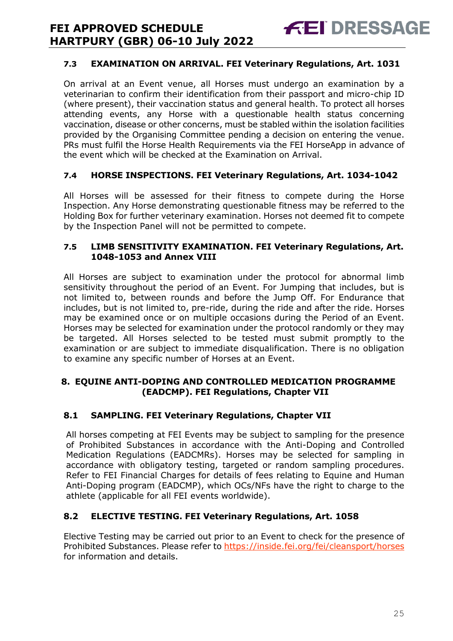#### **7.3 EXAMINATION ON ARRIVAL. FEI Veterinary Regulations, Art. 1031**

**FEI DRESSAGE** 

On arrival at an Event venue, all Horses must undergo an examination by a veterinarian to confirm their identification from their passport and micro-chip ID (where present), their vaccination status and general health. To protect all horses attending events, any Horse with a questionable health status concerning vaccination, disease or other concerns, must be stabled within the isolation facilities provided by the Organising Committee pending a decision on entering the venue. PRs must fulfil the Horse Health Requirements via the FEI HorseApp in advance of the event which will be checked at the Examination on Arrival.

#### **7.4 HORSE INSPECTIONS. FEI Veterinary Regulations, Art. 1034-1042**

All Horses will be assessed for their fitness to compete during the Horse Inspection. Any Horse demonstrating questionable fitness may be referred to the Holding Box for further veterinary examination. Horses not deemed fit to compete by the Inspection Panel will not be permitted to compete.

#### **7.5 LIMB SENSITIVITY EXAMINATION. FEI Veterinary Regulations, Art. 1048-1053 and Annex VIII**

All Horses are subject to examination under the protocol for abnormal limb sensitivity throughout the period of an Event. For Jumping that includes, but is not limited to, between rounds and before the Jump Off. For Endurance that includes, but is not limited to, pre-ride, during the ride and after the ride. Horses may be examined once or on multiple occasions during the Period of an Event. Horses may be selected for examination under the protocol randomly or they may be targeted. All Horses selected to be tested must submit promptly to the examination or are subject to immediate disqualification. There is no obligation to examine any specific number of Horses at an Event.

#### <span id="page-24-0"></span>**8. EQUINE ANTI-DOPING AND CONTROLLED MEDICATION PROGRAMME (EADCMP). FEI Regulations, Chapter VII**

#### **8.1 SAMPLING. FEI Veterinary Regulations, Chapter VII**

All horses competing at FEI Events may be subject to sampling for the presence of Prohibited Substances in accordance with the Anti-Doping and Controlled Medication Regulations (EADCMRs). Horses may be selected for sampling in accordance with obligatory testing, targeted or random sampling procedures. Refer to FEI Financial Charges for details of fees relating to Equine and Human Anti-Doping program (EADCMP), which OCs/NFs have the right to charge to the athlete (applicable for all FEI events worldwide).

#### **8.2 ELECTIVE TESTING. FEI Veterinary Regulations, Art. 1058**

Elective Testing may be carried out prior to an Event to check for the presence of Prohibited Substances. Please refer to https://inside.fei.org/fei/cleansport/horses for information and details.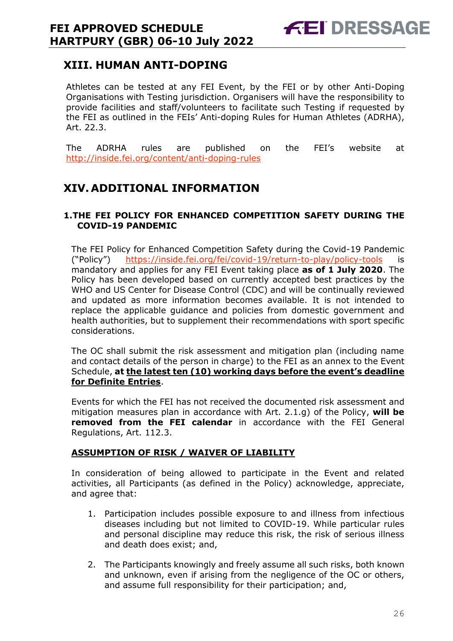# <span id="page-25-0"></span>**XIII. HUMAN ANTI-DOPING**

Athletes can be tested at any FEI Event, by the FEI or by other Anti-Doping Organisations with Testing jurisdiction. Organisers will have the responsibility to provide facilities and staff/volunteers to facilitate such Testing if requested by the FEI as outlined in the FEIs' Anti-doping Rules for Human Athletes (ADRHA), Art. 22.3.

The ADRHA rules are published on the FEI's website at <http://inside.fei.org/content/anti-doping-rules>

# <span id="page-25-1"></span>**XIV. ADDITIONAL INFORMATION**

#### <span id="page-25-2"></span>**1.THE FEI POLICY FOR ENHANCED COMPETITION SAFETY DURING THE COVID-19 PANDEMIC**

The FEI Policy for Enhanced Competition Safety during the Covid-19 Pandemic ("Policy") <https://inside.fei.org/fei/covid-19/return-to-play/policy-tools> is mandatory and applies for any FEI Event taking place **as of 1 July 2020**. The Policy has been developed based on currently accepted best practices by the WHO and US Center for Disease Control (CDC) and will be continually reviewed and updated as more information becomes available. It is not intended to replace the applicable guidance and policies from domestic government and health authorities, but to supplement their recommendations with sport specific considerations.

The OC shall submit the risk assessment and mitigation plan (including name and contact details of the person in charge) to the FEI as an annex to the Event Schedule, **at the latest ten (10) working days before the event's deadline for Definite Entries**.

Events for which the FEI has not received the documented risk assessment and mitigation measures plan in accordance with Art. 2.1.g) of the Policy, **will be removed from the FEI calendar** in accordance with the FEI General Regulations, Art. 112.3.

#### **ASSUMPTION OF RISK / WAIVER OF LIABILITY**

In consideration of being allowed to participate in the Event and related activities, all Participants (as defined in the Policy) acknowledge, appreciate, and agree that:

- 1. Participation includes possible exposure to and illness from infectious diseases including but not limited to COVID-19. While particular rules and personal discipline may reduce this risk, the risk of serious illness and death does exist; and,
- 2. The Participants knowingly and freely assume all such risks, both known and unknown, even if arising from the negligence of the OC or others, and assume full responsibility for their participation; and,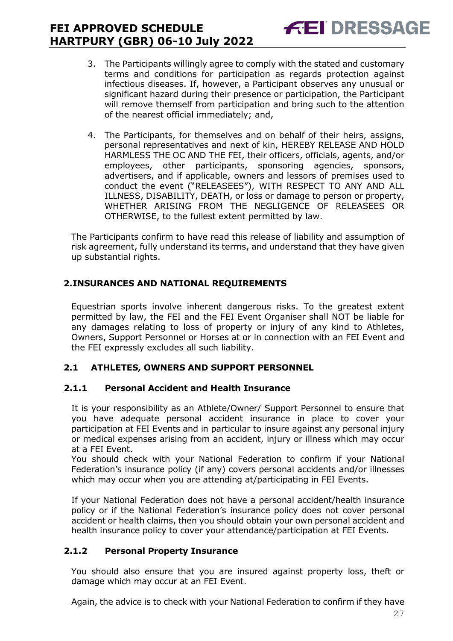3. The Participants willingly agree to comply with the stated and customary terms and conditions for participation as regards protection against infectious diseases. If, however, a Participant observes any unusual or significant hazard during their presence or participation, the Participant will remove themself from participation and bring such to the attention of the nearest official immediately; and,

**FEI DRESSAGE** 

4. The Participants, for themselves and on behalf of their heirs, assigns, personal representatives and next of kin, HEREBY RELEASE AND HOLD HARMLESS THE OC AND THE FEI, their officers, officials, agents, and/or employees, other participants, sponsoring agencies, sponsors, advertisers, and if applicable, owners and lessors of premises used to conduct the event ("RELEASEES"), WITH RESPECT TO ANY AND ALL ILLNESS, DISABILITY, DEATH, or loss or damage to person or property, WHETHER ARISING FROM THE NEGLIGENCE OF RELEASEES OR OTHERWISE, to the fullest extent permitted by law.

The Participants confirm to have read this release of liability and assumption of risk agreement, fully understand its terms, and understand that they have given up substantial rights.

#### <span id="page-26-0"></span>**2.INSURANCES AND NATIONAL REQUIREMENTS**

Equestrian sports involve inherent dangerous risks. To the greatest extent permitted by law, the FEI and the FEI Event Organiser shall NOT be liable for any damages relating to loss of property or injury of any kind to Athletes, Owners, Support Personnel or Horses at or in connection with an FEI Event and the FEI expressly excludes all such liability.

#### **2.1 ATHLETES, OWNERS AND SUPPORT PERSONNEL**

#### **2.1.1 Personal Accident and Health Insurance**

It is your responsibility as an Athlete/Owner/ Support Personnel to ensure that you have adequate personal accident insurance in place to cover your participation at FEI Events and in particular to insure against any personal injury or medical expenses arising from an accident, injury or illness which may occur at a FEI Event.

You should check with your National Federation to confirm if your National Federation's insurance policy (if any) covers personal accidents and/or illnesses which may occur when you are attending at/participating in FEI Events.

If your National Federation does not have a personal accident/health insurance policy or if the National Federation's insurance policy does not cover personal accident or health claims, then you should obtain your own personal accident and health insurance policy to cover your attendance/participation at FEI Events.

#### **2.1.2 Personal Property Insurance**

You should also ensure that you are insured against property loss, theft or damage which may occur at an FEI Event.

Again, the advice is to check with your National Federation to confirm if they have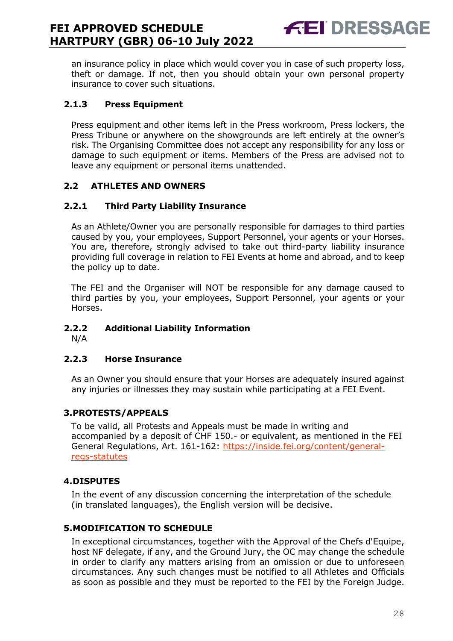an insurance policy in place which would cover you in case of such property loss, theft or damage. If not, then you should obtain your own personal property insurance to cover such situations.

**FEI DRESSAGE** 

#### **2.1.3 Press Equipment**

Press equipment and other items left in the Press workroom, Press lockers, the Press Tribune or anywhere on the showgrounds are left entirely at the owner's risk. The Organising Committee does not accept any responsibility for any loss or damage to such equipment or items. Members of the Press are advised not to leave any equipment or personal items unattended.

#### **2.2 ATHLETES AND OWNERS**

#### **2.2.1 Third Party Liability Insurance**

As an Athlete/Owner you are personally responsible for damages to third parties caused by you, your employees, Support Personnel, your agents or your Horses. You are, therefore, strongly advised to take out third-party liability insurance providing full coverage in relation to FEI Events at home and abroad, and to keep the policy up to date.

The FEI and the Organiser will NOT be responsible for any damage caused to third parties by you, your employees, Support Personnel, your agents or your Horses.

#### **2.2.2 Additional Liability Information**

N/A

#### **2.2.3 Horse Insurance**

As an Owner you should ensure that your Horses are adequately insured against any injuries or illnesses they may sustain while participating at a FEI Event.

#### <span id="page-27-0"></span>**3.PROTESTS/APPEALS**

To be valid, all Protests and Appeals must be made in writing and accompanied by a deposit of CHF 150.- or equivalent, as mentioned in the FEI General Regulations, Art. 161-162: [https://inside.fei.org/content/general](https://inside.fei.org/content/general-regs-statutes)[regs-statutes](https://inside.fei.org/content/general-regs-statutes)

#### <span id="page-27-1"></span>**4.DISPUTES**

In the event of any discussion concerning the interpretation of the schedule (in translated languages), the English version will be decisive.

#### <span id="page-27-2"></span>**5.MODIFICATION TO SCHEDULE**

In exceptional circumstances, together with the Approval of the Chefs d'Equipe, host NF delegate, if any, and the Ground Jury, the OC may change the schedule in order to clarify any matters arising from an omission or due to unforeseen circumstances. Any such changes must be notified to all Athletes and Officials as soon as possible and they must be reported to the FEI by the Foreign Judge.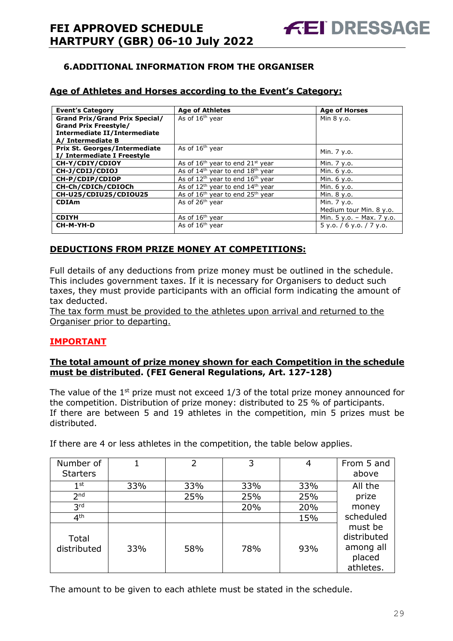#### <span id="page-28-0"></span>**6.ADDITIONAL INFORMATION FROM THE ORGANISER**

#### **Age of Athletes and Horses according to the Event's Category:**

| <b>Event's Category</b>               | <b>Age of Athletes</b>                                   | <b>Age of Horses</b>        |
|---------------------------------------|----------------------------------------------------------|-----------------------------|
| <b>Grand Prix/Grand Prix Special/</b> | As of 16 <sup>th</sup> year                              | Min 8 y.o.                  |
| <b>Grand Prix Freestyle/</b>          |                                                          |                             |
| <b>Intermediate II/Intermediate</b>   |                                                          |                             |
| A/ Intermediate B                     |                                                          |                             |
| <b>Prix St. Georges/Intermediate</b>  | As of 16 <sup>th</sup> year                              | Min. 7 y.o.                 |
| I/ Intermediate I Freestyle           |                                                          |                             |
| CH-Y/CDIY/CDIOY                       | As of $16th$ year to end $21st$ year                     | Min. 7 y.o.                 |
| CH-J/CDIJ/CDIOJ                       | As of $14th$ year to end $18th$ year                     | Min. 6 y.o.                 |
| CH-P/CDIP/CDIOP                       | As of $12^{th}$ year to end $16^{th}$ year               | Min. 6 y.o.                 |
| CH-Ch/CDICh/CDIOCh                    | As of $12^{th}$ year to end $14^{th}$ year               | Min. 6 y.o.                 |
| CH-U25/CDIU25/CDIOU25                 | As of 16 <sup>th</sup> year to end 25 <sup>th</sup> year | Min. 8 y.o.                 |
| <b>CDIAm</b>                          | As of 26 <sup>th</sup> year                              | Min. 7 y.o.                 |
|                                       |                                                          | Medium tour Min. 8 y.o.     |
| <b>CDIYH</b>                          | As of 16 <sup>th</sup> year                              | Min. $5 y.o. - Max. 7 y.o.$ |
| CH-M-YH-D                             | As of $16th$ year                                        | $5$ y.o. / 6 y.o. / 7 y.o.  |
|                                       |                                                          |                             |

#### **DEDUCTIONS FROM PRIZE MONEY AT COMPETITIONS:**

Full details of any deductions from prize money must be outlined in the schedule. This includes government taxes. If it is necessary for Organisers to deduct such taxes, they must provide participants with an official form indicating the amount of tax deducted.

The tax form must be provided to the athletes upon arrival and returned to the Organiser prior to departing.

#### **IMPORTANT**

#### **The total amount of prize money shown for each Competition in the schedule must be distributed. (FEI General Regulations, Art. 127-128)**

The value of the  $1<sup>st</sup>$  prize must not exceed  $1/3$  of the total prize money announced for the competition. Distribution of prize money: distributed to 25 % of participants. If there are between 5 and 19 athletes in the competition, min 5 prizes must be distributed.

If there are 4 or less athletes in the competition, the table below applies.

| Number of            |     |     | 3   |     | From 5 and                                                 |
|----------------------|-----|-----|-----|-----|------------------------------------------------------------|
| <b>Starters</b>      |     |     |     |     | above                                                      |
| $1^{\rm st}$         | 33% | 33% | 33% | 33% | All the                                                    |
| 2 <sub>nd</sub>      |     | 25% | 25% | 25% | prize                                                      |
| 3 <sup>rd</sup>      |     |     | 20% | 20% | money                                                      |
| 4 <sup>th</sup>      |     |     |     | 15% | scheduled                                                  |
| Total<br>distributed | 33% | 58% | 78% | 93% | must be<br>distributed<br>among all<br>placed<br>athletes. |

The amount to be given to each athlete must be stated in the schedule.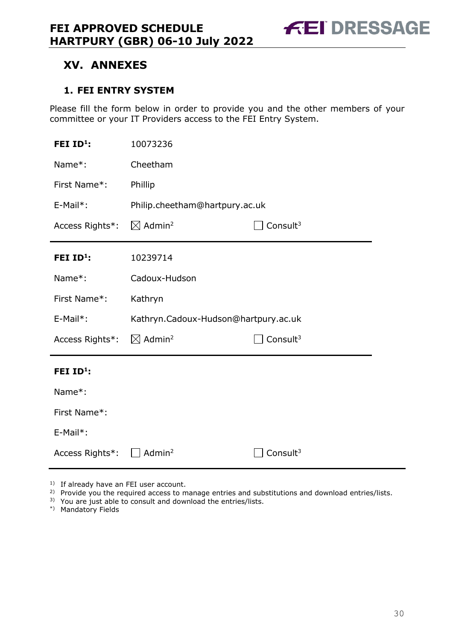**FEI DRESSAGE** 

# <span id="page-29-0"></span>**XV. ANNEXES**

#### <span id="page-29-1"></span>**1. FEI ENTRY SYSTEM**

Please fill the form below in order to provide you and the other members of your committee or your IT Providers access to the FEI Entry System.

| FEI ID <sup>1</sup> : | 10073236                             |             |
|-----------------------|--------------------------------------|-------------|
| Name*:                | Cheetham                             |             |
| First Name*:          | Phillip                              |             |
| E-Mail*:              | Philip.cheetham@hartpury.ac.uk       |             |
| Access Rights*:       | $\boxtimes$ Admin <sup>2</sup>       | Consult $3$ |
| FEI ID <sup>1</sup> : | 10239714                             |             |
| Name*:                | Cadoux-Hudson                        |             |
| First Name*:          | Kathryn                              |             |
|                       |                                      |             |
| E-Mail*:              | Kathryn.Cadoux-Hudson@hartpury.ac.uk |             |
| Access Rights*:       | $\boxtimes$ Admin <sup>2</sup>       | Consult $3$ |
| FEI $ID^1$ :          |                                      |             |
| Name*:                |                                      |             |
| First Name*:          |                                      |             |
| E-Mail*:              |                                      |             |

<sup>1)</sup> If already have an FEI user account.

- <sup>2)</sup> Provide you the required access to manage entries and substitutions and download entries/lists.
- 3) You are just able to consult and download the entries/lists.
- \*) Mandatory Fields